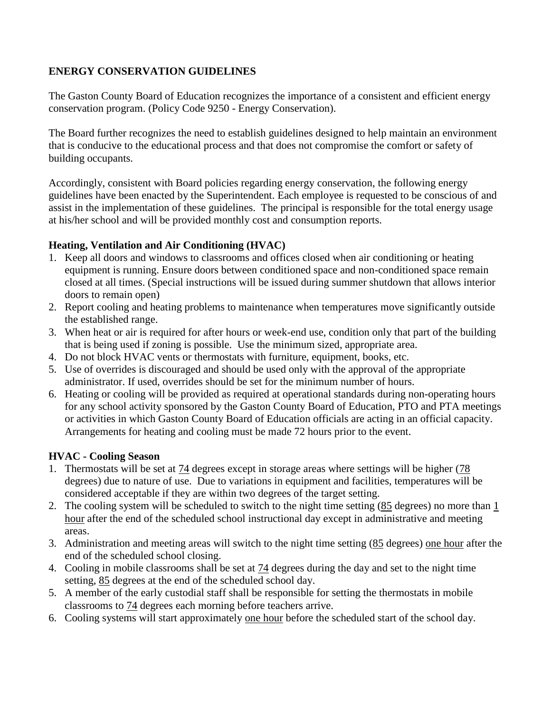### **ENERGY CONSERVATION GUIDELINES**

The Gaston County Board of Education recognizes the importance of a consistent and efficient energy conservation program. (Policy Code 9250 - Energy Conservation).

The Board further recognizes the need to establish guidelines designed to help maintain an environment that is conducive to the educational process and that does not compromise the comfort or safety of building occupants.

Accordingly, consistent with Board policies regarding energy conservation, the following energy guidelines have been enacted by the Superintendent. Each employee is requested to be conscious of and assist in the implementation of these guidelines. The principal is responsible for the total energy usage at his/her school and will be provided monthly cost and consumption reports.

### **Heating, Ventilation and Air Conditioning (HVAC)**

- 1. Keep all doors and windows to classrooms and offices closed when air conditioning or heating equipment is running. Ensure doors between conditioned space and non-conditioned space remain closed at all times. (Special instructions will be issued during summer shutdown that allows interior doors to remain open)
- 2. Report cooling and heating problems to maintenance when temperatures move significantly outside the established range.
- 3. When heat or air is required for after hours or week-end use, condition only that part of the building that is being used if zoning is possible. Use the minimum sized, appropriate area.
- 4. Do not block HVAC vents or thermostats with furniture, equipment, books, etc.
- 5. Use of overrides is discouraged and should be used only with the approval of the appropriate administrator. If used, overrides should be set for the minimum number of hours.
- 6. Heating or cooling will be provided as required at operational standards during non-operating hours for any school activity sponsored by the Gaston County Board of Education, PTO and PTA meetings or activities in which Gaston County Board of Education officials are acting in an official capacity. Arrangements for heating and cooling must be made 72 hours prior to the event.

# **HVAC - Cooling Season**

- 1. Thermostats will be set at 74 degrees except in storage areas where settings will be higher (78 degrees) due to nature of use. Due to variations in equipment and facilities, temperatures will be considered acceptable if they are within two degrees of the target setting.
- 2. The cooling system will be scheduled to switch to the night time setting (85 degrees) no more than 1 hour after the end of the scheduled school instructional day except in administrative and meeting areas.
- 3. Administration and meeting areas will switch to the night time setting (85 degrees) one hour after the end of the scheduled school closing.
- 4. Cooling in mobile classrooms shall be set at 74 degrees during the day and set to the night time setting, 85 degrees at the end of the scheduled school day.
- 5. A member of the early custodial staff shall be responsible for setting the thermostats in mobile classrooms to 74 degrees each morning before teachers arrive.
- 6. Cooling systems will start approximately one hour before the scheduled start of the school day.